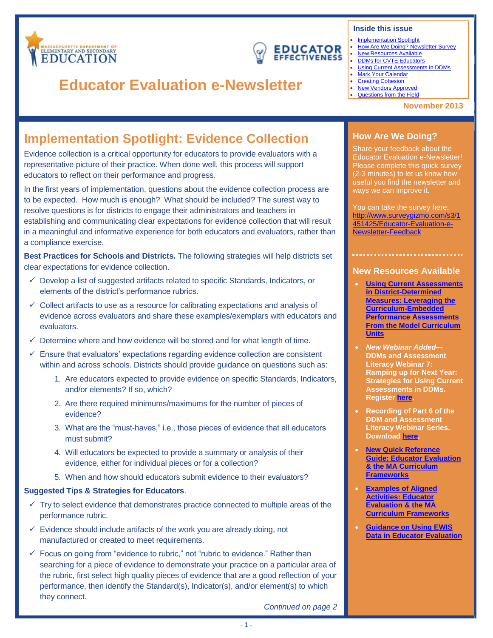<span id="page-0-2"></span>

## **EDUCATOR EFFECTIVENESS**

# **Educator Evaluation e-Newsletter**

#### **Inside this issue**

- **[Implementation Spotlight](#page-0-0)**
- [How Are We Doing? Newsletter Survey](#page-0-1)
- New [Resources Available](#page-0-2)
- [DDMs for CVTE Educators](#page-1-0)
- [Using Current Assessments in DDMs](#page-1-1) **[Mark Your Calendar](#page-1-2)**
- [Creating Cohesion](#page-1-3)
- [New Vendors Approved](#page-1-3)
- [Questions from the Field](#page-2-0)

#### **November 2013**

## <span id="page-0-0"></span>**Implementation Spotlight: Evidence Collection**

Evidence collection is a critical opportunity for educators to provide evaluators with a representative picture of their practice. When done well, this process will support educators to reflect on their performance and progress.

In the first years of implementation, questions about the evidence collection process are to be expected. How much is enough? What should be included? The surest way to resolve questions is for districts to engage their administrators and teachers in establishing and communicating clear expectations for evidence collection that will result in a meaningful and informative experience for both educators and evaluators, rather than a compliance exercise.

**Best Practices for Schools and Districts.** The following strategies will help districts set clear expectations for evidence collection.

- $\checkmark$  Develop a list of suggested artifacts related to specific Standards, Indicators, or elements of the district's performance rubrics.
- $\checkmark$  Collect artifacts to use as a resource for calibrating expectations and analysis of evidence across evaluators and share these examples/exemplars with educators and evaluators.
- $\checkmark$  Determine where and how evidence will be stored and for what length of time.
- $\checkmark$  Ensure that evaluators' expectations regarding evidence collection are consistent within and across schools. Districts should provide guidance on questions such as:
	- 1. Are educators expected to provide evidence on specific Standards, Indicators, and/or elements? If so, which?
	- 2. Are there required minimums/maximums for the number of pieces of evidence?
	- 3. What are the "must-haves," i.e., those pieces of evidence that all educators must submit?
	- 4. Will educators be expected to provide a summary or analysis of their evidence, either for individual pieces or for a collection?
	- 5. When and how should educators submit evidence to their evaluators?

### **Suggested Tips & Strategies for Educators**.

- $\checkmark$  Try to select evidence that demonstrates practice connected to multiple areas of the performance rubric.
- $\checkmark$  Evidence should include artifacts of the work you are already doing, not manufactured or created to meet requirements.
- $\checkmark$  Focus on going from "evidence to rubric," not "rubric to evidence." Rather than searching for a piece of evidence to demonstrate your practice on a particular area of the rubric, first select high quality pieces of evidence that are a good reflection of your performance, then identify the Standard(s), Indicator(s), and/or element(s) to which they connect.

### <span id="page-0-1"></span>**How Are We Doing?**

Share your feedback about the Educator Evaluation e-Newsletter! Please complete this quick survey (2-3 minutes) to let us know how useful you find the newsletter and ways we can improve it.

You can take the survey here: [http://www.surveygizmo.com/s3/1](http://www.surveygizmo.com/s3/1451425/Educator-Evaluation-e-Newsletter-Feedback) [451425/Educator-Evaluation-e-](http://www.surveygizmo.com/s3/1451425/Educator-Evaluation-e-Newsletter-Feedback)[Newsletter-Feedback.](http://www.surveygizmo.com/s3/1451425/Educator-Evaluation-e-Newsletter-Feedback)

### **New Resources Available**

- **[Using Current Assessments](http://www.doe.mass.edu/edeval/ddm/UsingAssessments.pdf)  [in District-Determined](http://www.doe.mass.edu/edeval/ddm/UsingAssessments.pdf)  [Measures: Leveraging the](http://www.doe.mass.edu/edeval/ddm/UsingAssessments.pdf)  [Curriculum-Embedded](http://www.doe.mass.edu/edeval/ddm/UsingAssessments.pdf)  [Performance Assessments](http://www.doe.mass.edu/edeval/ddm/UsingAssessments.pdf)  [From the Model Curriculum](http://www.doe.mass.edu/edeval/ddm/UsingAssessments.pdf)  [Units](http://www.doe.mass.edu/edeval/ddm/UsingAssessments.pdf)**
- *New Webinar Added***— DDMs and Assessment Literacy Webinar 7: Ramping up for Next Year: Strategies for Using Current Assessments in DDMs. Register [here.](https://air-event500.webex.com/air-event500/onstage/g.php?d=597905353&t=a)**
- **Recording of Part 6 of the DDM and Assessment Literacy Webinar Series. Download [here.](http://www.youtube.com/watch?v=7zyDFsbWWeE&feature=youtu.be)**
- **[New Quick Reference](http://www.doe.mass.edu/edeval/resources/implementation/EdEvalandCF.pdf)  [Guide: Educator Evaluation](http://www.doe.mass.edu/edeval/resources/implementation/EdEvalandCF.pdf)  [& the MA Curriculum](http://www.doe.mass.edu/edeval/resources/implementation/EdEvalandCF.pdf)  [Frameworks](http://www.doe.mass.edu/edeval/resources/implementation/EdEvalandCF.pdf)**
- **[Examples of Aligned](http://www.doe.mass.edu/edeval/resources/implementation/AlignedActivities.pdf)  [Activities: Educator](http://www.doe.mass.edu/edeval/resources/implementation/AlignedActivities.pdf)  [Evaluation & the MA](http://www.doe.mass.edu/edeval/resources/implementation/AlignedActivities.pdf)  [Curriculum Frameworks](http://www.doe.mass.edu/edeval/resources/implementation/AlignedActivities.pdf)**
- **[Guidance on Using EWIS](http://www.doe.mass.edu/edwin/analytics/EducatorEvaluation-EWIS.pdf)  [Data in Educator Evaluation](http://www.doe.mass.edu/edwin/analytics/EducatorEvaluation-EWIS.pdf)**

*Continued on page 2*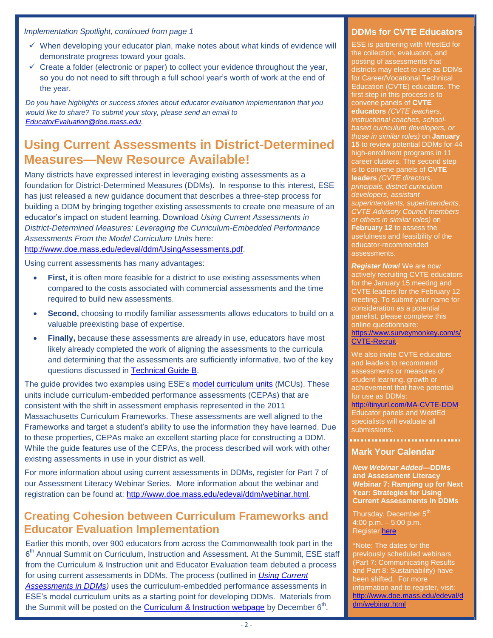*Implementation Spotlight, continued from page 1*

- $\checkmark$  When developing your educator plan, make notes about what kinds of evidence will demonstrate progress toward your goals.
- $\checkmark$  Create a folder (electronic or paper) to collect your evidence throughout the year, so you do not need to sift through a full school year's worth of work at the end of the year.

*Do you have highlights or success stories about educator evaluation implementation that you would like to share? To submit your story, please send an email to [EducatorEvaluation@doe.mass.edu.](mailto:EducatorEvaluation@doe.mass.edu)* 

## <span id="page-1-1"></span>**Using Current Assessments in District-Determined Measures—New Resource Available!**

Many districts have expressed interest in leveraging existing assessments as a foundation for District-Determined Measures (DDMs). In response to this interest, ESE has just released a new guidance document that describes a three-step process for building a DDM by bringing together existing assessments to create one measure of an educator's impact on student learning. Download *Using Current Assessments in District-Determined Measures: Leveraging the Curriculum-Embedded Performance Assessments From the Model Curriculum Units* here: [http://www.doe.mass.edu/edeval/ddm/UsingAssessments.pdf.](http://www.doe.mass.edu/edeval/ddm/UsingAssessments.pdf)

Using current assessments has many advantages:

- **First,** it is often more feasible for a district to use existing assessments when compared to the costs associated with commercial assessments and the time required to build new assessments.
- **Second,** choosing to modify familiar assessments allows educators to build on a valuable preexisting base of expertise.
- **Finally,** because these assessments are already in use, educators have most likely already completed the work of aligning the assessments to the curricula and determining that the assessments are sufficiently informative, two of the key questions discussed in [Technical Guide B.](http://www.doe.mass.edu/edeval/ddm/TechnicalGuideB.pdf)

The guide provides two examples using ESE's [model curriculum units](http://www.doe.mass.edu/candi/model/) (MCUs). These units include curriculum-embedded performance assessments (CEPAs) that are consistent with the shift in assessment emphasis represented in the 2011 Massachusetts Curriculum Frameworks. These assessments are well aligned to the Frameworks and target a student's ability to use the information they have learned. Due to these properties, CEPAs make an excellent starting place for constructing a DDM. While the guide features use of the CEPAs, the process described will work with other existing assessments in use in your district as well.

For more information about using current assessments in DDMs, register for Part 7 of our Assessment Literacy Webinar Series. More information about the webinar and registration can be found at: [http://www.doe.mass.edu/edeval/ddm/webinar.html.](http://www.doe.mass.edu/edeval/ddm/webinar.html)

## <span id="page-1-3"></span>**Creating Cohesion between Curriculum Frameworks and Educator Evaluation Implementation**

Earlier this month, over 900 educators from across the Commonwealth took part in the 6<sup>th</sup> Annual Summit on Curriculum, Instruction and Assessment. At the Summit, ESE staff from the Curriculum & Instruction unit and Educator Evaluation team debuted a process for using current assessments in DDMs. The process (outlined in *[Using Current](http://www.doe.mass.edu/edeval/ddm/UsingAssessments.pdf)*  [Assessments in DDMs\)](http://www.doe.mass.edu/edeval/ddm/UsingAssessments.pdf) uses the curriculum-embedded performance assessments in ESE's model curriculum units as a starting point for developing DDMs. Materials from the Summit will be posted on the [Curriculum & Instruction webpage](http://www.doe.mass.edu/candi/summit/) by December 6<sup>th</sup>.

### <span id="page-1-0"></span>**DDMs for CVTE Educators**

ESE is partnering with WestEd for the collection, evaluation, and posting of assessments that districts may elect to use as DDMs for Career/Vocational Technical Education (CVTE) educators. The first step in this process is to convene panels of **CVTE educators** *(CVTE teachers, instructional coaches, schoolbased curriculum developers, or those in similar roles)* on **January 15** to review potential DDMs for 44 high-enrollment programs in 11 career clusters. The second step is to convene panels of **CVTE leaders** *(CVTE directors, principals, district curriculum developers, assistant superintendents, superintendents, CVTE Advisory Council members or others in similar roles)* on **February 12** to assess the usefulness and feasibility of the educator-recommended assessments.

*Register Now!* We are now actively recruiting CVTE educators for the January 15 meeting and CVTE leaders for the February 12 meeting. To submit your name for consideration as a potential panelist, please complete this online questionnaire: [https://www.surveymonkey.com/s/](https://www.surveymonkey.com/s/CVTE-Recruit) [CVTE-Recruit.](https://www.surveymonkey.com/s/CVTE-Recruit)

We also invite CVTE educators and leaders to recommend assessments or measures of student learning, growth or achievement that have potential for use as DDMs: [http://tinyurl.com/MA-CVTE-DDM.](http://tinyurl.com/MA-CVTE-DDM) Educator panels and WestEd specialists will evaluate all submissions.

#### <span id="page-1-2"></span>**Mark Your Calendar**

*New Webinar Added***—DDMs and Assessment Literacy Webinar 7: Ramping up for Next Year: Strategies for Using Current Assessments in DDMs**

Thursday, December 5<sup>th</sup>  $4:00 \text{ p.m.} - 5:00 \text{ p.m.}$ Register [here.](https://air-event500.webex.com/air-event500/onstage/g.php?d=597905353&t=a)

\*Note: The dates for the previously scheduled webinars (Part 7: Communicating Results and Part 8: Sustainability) have been shifted. For more information and to register, visit: [http://www.doe.mass.edu/edeval/d](http://www.doe.mass.edu/edeval/ddm/webinar.html) [dm/webinar.html.](http://www.doe.mass.edu/edeval/ddm/webinar.html)